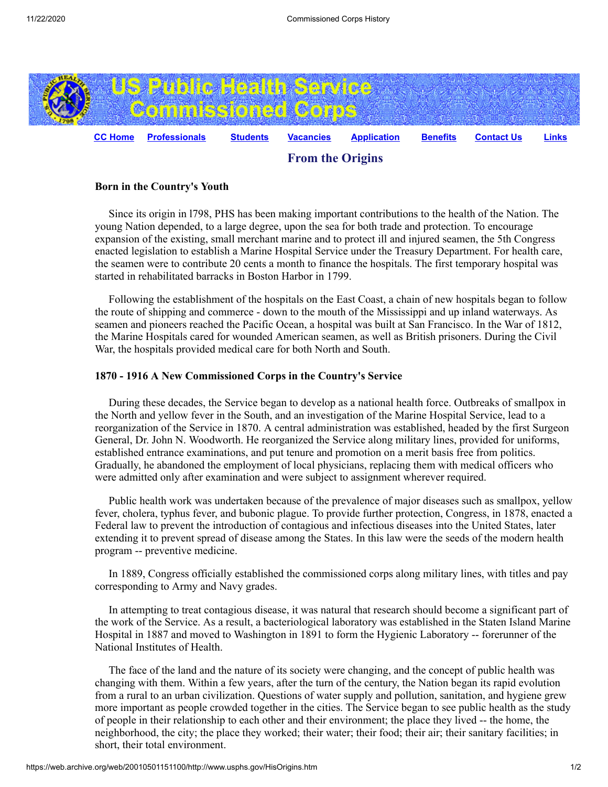

## **Born in the Country's Youth**

 Since its origin in l798, PHS has been making important contributions to the health of the Nation. The young Nation depended, to a large degree, upon the sea for both trade and protection. To encourage expansion of the existing, small merchant marine and to protect ill and injured seamen, the 5th Congress enacted legislation to establish a Marine Hospital Service under the Treasury Department. For health care, the seamen were to contribute 20 cents a month to finance the hospitals. The first temporary hospital was started in rehabilitated barracks in Boston Harbor in 1799.

 Following the establishment of the hospitals on the East Coast, a chain of new hospitals began to follow the route of shipping and commerce - down to the mouth of the Mississippi and up inland waterways. As seamen and pioneers reached the Pacific Ocean, a hospital was built at San Francisco. In the War of 1812, the Marine Hospitals cared for wounded American seamen, as well as British prisoners. During the Civil War, the hospitals provided medical care for both North and South.

## **1870 - 1916 A New Commissioned Corps in the Country's Service**

 During these decades, the Service began to develop as a national health force. Outbreaks of smallpox in the North and yellow fever in the South, and an investigation of the Marine Hospital Service, lead to a reorganization of the Service in 1870. A central administration was established, headed by the first Surgeon General, Dr. John N. Woodworth. He reorganized the Service along military lines, provided for uniforms, established entrance examinations, and put tenure and promotion on a merit basis free from politics. Gradually, he abandoned the employment of local physicians, replacing them with medical officers who were admitted only after examination and were subject to assignment wherever required.

 Public health work was undertaken because of the prevalence of major diseases such as smallpox, yellow fever, cholera, typhus fever, and bubonic plague. To provide further protection, Congress, in 1878, enacted a Federal law to prevent the introduction of contagious and infectious diseases into the United States, later extending it to prevent spread of disease among the States. In this law were the seeds of the modern health program -- preventive medicine.

 In 1889, Congress officially established the commissioned corps along military lines, with titles and pay corresponding to Army and Navy grades.

 In attempting to treat contagious disease, it was natural that research should become a significant part of the work of the Service. As a result, a bacteriological laboratory was established in the Staten Island Marine Hospital in 1887 and moved to Washington in 1891 to form the Hygienic Laboratory -- forerunner of the National Institutes of Health.

 The face of the land and the nature of its society were changing, and the concept of public health was changing with them. Within a few years, after the turn of the century, the Nation began its rapid evolution from a rural to an urban civilization. Questions of water supply and pollution, sanitation, and hygiene grew more important as people crowded together in the cities. The Service began to see public health as the study of people in their relationship to each other and their environment; the place they lived -- the home, the neighborhood, the city; the place they worked; their water; their food; their air; their sanitary facilities; in short, their total environment.